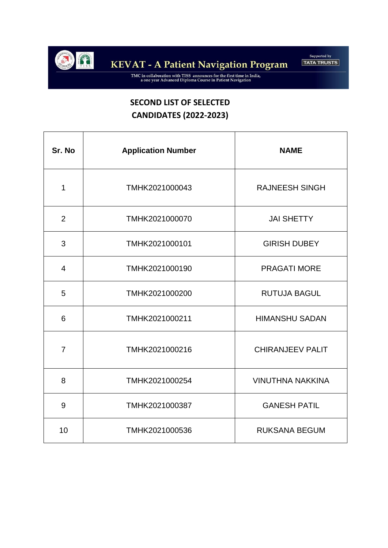

TMC in collaboration with TISS announces for the first time in India,<br>a one year Advanced Diploma Course in Patient Navigation

## **SECOND LIST OF SELECTED CANDIDATES (2022-2023)**

| Sr. No         | <b>Application Number</b> | <b>NAME</b>             |
|----------------|---------------------------|-------------------------|
| 1              | TMHK2021000043            | <b>RAJNEESH SINGH</b>   |
| 2              | TMHK2021000070            | <b>JAI SHETTY</b>       |
| 3              | TMHK2021000101            | <b>GIRISH DUBEY</b>     |
| $\overline{4}$ | TMHK2021000190            | <b>PRAGATI MORE</b>     |
| 5              | TMHK2021000200            | <b>RUTUJA BAGUL</b>     |
| 6              | TMHK2021000211            | <b>HIMANSHU SADAN</b>   |
| $\overline{7}$ | TMHK2021000216            | <b>CHIRANJEEV PALIT</b> |
| 8              | TMHK2021000254            | <b>VINUTHNA NAKKINA</b> |
| 9              | TMHK2021000387            | <b>GANESH PATIL</b>     |
| 10             | TMHK2021000536            | <b>RUKSANA BEGUM</b>    |